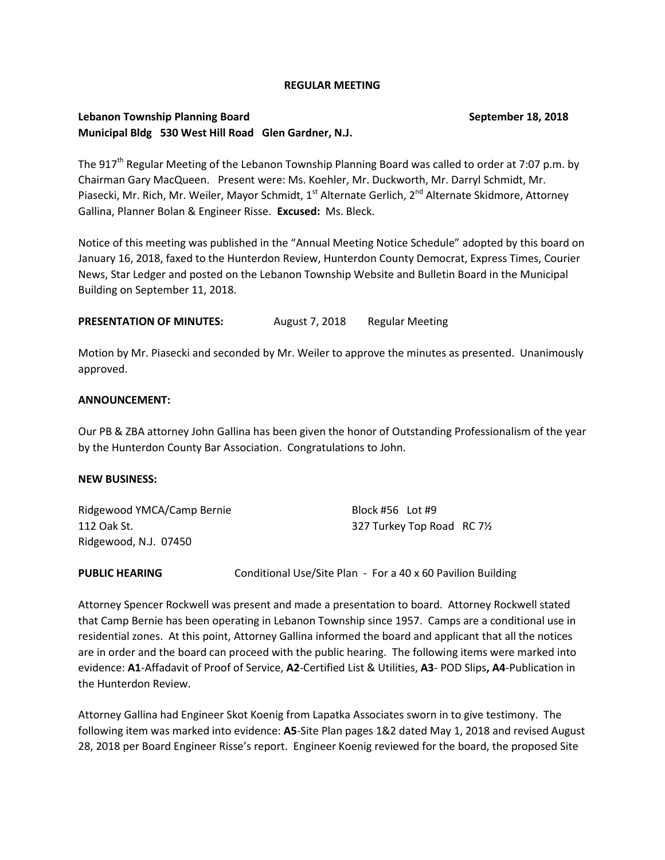#### **REGULAR MEETING**

## **Lebanon Township Planning Board September 18, 2018 Municipal Bldg 530 West Hill Road Glen Gardner, N.J.**

The 917<sup>th</sup> Regular Meeting of the Lebanon Township Planning Board was called to order at 7:07 p.m. by Chairman Gary MacQueen. Present were: Ms. Koehler, Mr. Duckworth, Mr. Darryl Schmidt, Mr. Piasecki, Mr. Rich, Mr. Weiler, Mayor Schmidt, 1<sup>st</sup> Alternate Gerlich, 2<sup>nd</sup> Alternate Skidmore, Attorney Gallina, Planner Bolan & Engineer Risse. **Excused:** Ms. Bleck.

Notice of this meeting was published in the "Annual Meeting Notice Schedule" adopted by this board on January 16, 2018, faxed to the Hunterdon Review, Hunterdon County Democrat, Express Times, Courier News, Star Ledger and posted on the Lebanon Township Website and Bulletin Board in the Municipal Building on September 11, 2018.

**PRESENTATION OF MINUTES:** August 7, 2018 Regular Meeting

Motion by Mr. Piasecki and seconded by Mr. Weiler to approve the minutes as presented. Unanimously approved.

### **ANNOUNCEMENT:**

Our PB & ZBA attorney John Gallina has been given the honor of Outstanding Professionalism of the year by the Hunterdon County Bar Association. Congratulations to John.

### **NEW BUSINESS:**

| Ridgewood YMCA/Camp Bernie | Block #56 Lot #9          |  |
|----------------------------|---------------------------|--|
| 112 Oak St.                | 327 Turkey Top Road RC 7½ |  |
| Ridgewood, N.J. 07450      |                           |  |

**PUBLIC HEARING** Conditional Use/Site Plan - For a 40 x 60 Pavilion Building

Attorney Spencer Rockwell was present and made a presentation to board. Attorney Rockwell stated that Camp Bernie has been operating in Lebanon Township since 1957. Camps are a conditional use in residential zones. At this point, Attorney Gallina informed the board and applicant that all the notices are in order and the board can proceed with the public hearing. The following items were marked into evidence: **A1**-Affadavit of Proof of Service, **A2**-Certified List & Utilities, **A3**- POD Slips**, A4**-Publication in the Hunterdon Review.

Attorney Gallina had Engineer Skot Koenig from Lapatka Associates sworn in to give testimony. The following item was marked into evidence: **A5**-Site Plan pages 1&2 dated May 1, 2018 and revised August 28, 2018 per Board Engineer Risse's report. Engineer Koenig reviewed for the board, the proposed Site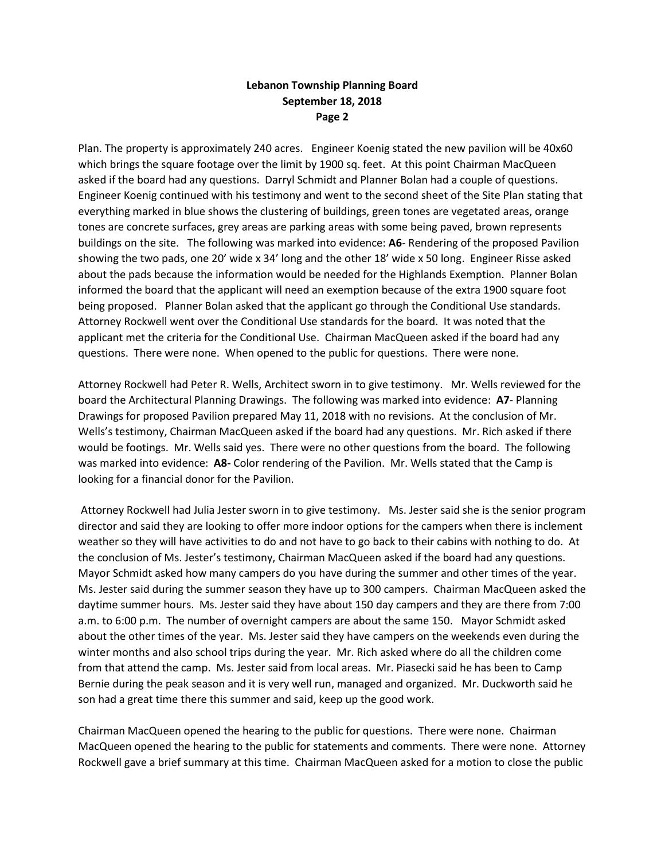## **Lebanon Township Planning Board September 18, 2018 Page 2**

Plan. The property is approximately 240 acres. Engineer Koenig stated the new pavilion will be 40x60 which brings the square footage over the limit by 1900 sq. feet. At this point Chairman MacQueen asked if the board had any questions. Darryl Schmidt and Planner Bolan had a couple of questions. Engineer Koenig continued with his testimony and went to the second sheet of the Site Plan stating that everything marked in blue shows the clustering of buildings, green tones are vegetated areas, orange tones are concrete surfaces, grey areas are parking areas with some being paved, brown represents buildings on the site. The following was marked into evidence: **A6**- Rendering of the proposed Pavilion showing the two pads, one 20' wide x 34' long and the other 18' wide x 50 long. Engineer Risse asked about the pads because the information would be needed for the Highlands Exemption. Planner Bolan informed the board that the applicant will need an exemption because of the extra 1900 square foot being proposed. Planner Bolan asked that the applicant go through the Conditional Use standards. Attorney Rockwell went over the Conditional Use standards for the board. It was noted that the applicant met the criteria for the Conditional Use. Chairman MacQueen asked if the board had any questions. There were none. When opened to the public for questions. There were none.

Attorney Rockwell had Peter R. Wells, Architect sworn in to give testimony. Mr. Wells reviewed for the board the Architectural Planning Drawings. The following was marked into evidence: **A7**- Planning Drawings for proposed Pavilion prepared May 11, 2018 with no revisions. At the conclusion of Mr. Wells's testimony, Chairman MacQueen asked if the board had any questions. Mr. Rich asked if there would be footings. Mr. Wells said yes. There were no other questions from the board. The following was marked into evidence: **A8-** Color rendering of the Pavilion. Mr. Wells stated that the Camp is looking for a financial donor for the Pavilion.

Attorney Rockwell had Julia Jester sworn in to give testimony. Ms. Jester said she is the senior program director and said they are looking to offer more indoor options for the campers when there is inclement weather so they will have activities to do and not have to go back to their cabins with nothing to do. At the conclusion of Ms. Jester's testimony, Chairman MacQueen asked if the board had any questions. Mayor Schmidt asked how many campers do you have during the summer and other times of the year. Ms. Jester said during the summer season they have up to 300 campers. Chairman MacQueen asked the daytime summer hours. Ms. Jester said they have about 150 day campers and they are there from 7:00 a.m. to 6:00 p.m. The number of overnight campers are about the same 150. Mayor Schmidt asked about the other times of the year. Ms. Jester said they have campers on the weekends even during the winter months and also school trips during the year. Mr. Rich asked where do all the children come from that attend the camp. Ms. Jester said from local areas. Mr. Piasecki said he has been to Camp Bernie during the peak season and it is very well run, managed and organized. Mr. Duckworth said he son had a great time there this summer and said, keep up the good work.

Chairman MacQueen opened the hearing to the public for questions. There were none. Chairman MacQueen opened the hearing to the public for statements and comments. There were none. Attorney Rockwell gave a brief summary at this time. Chairman MacQueen asked for a motion to close the public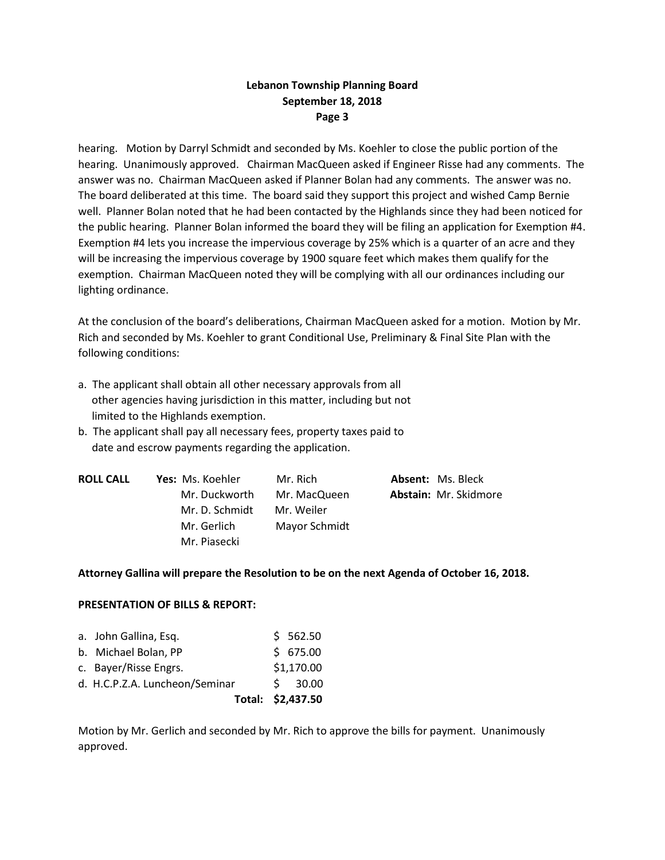## **Lebanon Township Planning Board September 18, 2018 Page 3**

hearing. Motion by Darryl Schmidt and seconded by Ms. Koehler to close the public portion of the hearing. Unanimously approved. Chairman MacQueen asked if Engineer Risse had any comments. The answer was no. Chairman MacQueen asked if Planner Bolan had any comments. The answer was no. The board deliberated at this time. The board said they support this project and wished Camp Bernie well. Planner Bolan noted that he had been contacted by the Highlands since they had been noticed for the public hearing. Planner Bolan informed the board they will be filing an application for Exemption #4. Exemption #4 lets you increase the impervious coverage by 25% which is a quarter of an acre and they will be increasing the impervious coverage by 1900 square feet which makes them qualify for the exemption. Chairman MacQueen noted they will be complying with all our ordinances including our lighting ordinance.

At the conclusion of the board's deliberations, Chairman MacQueen asked for a motion. Motion by Mr. Rich and seconded by Ms. Koehler to grant Conditional Use, Preliminary & Final Site Plan with the following conditions:

- a. The applicant shall obtain all other necessary approvals from all other agencies having jurisdiction in this matter, including but not limited to the Highlands exemption.
- b. The applicant shall pay all necessary fees, property taxes paid to date and escrow payments regarding the application.

| <b>ROLL CALL</b> | Yes: Ms. Koehler | Mr. Rich      | <b>Absent: Ms. Bleck</b> |
|------------------|------------------|---------------|--------------------------|
|                  | Mr. Duckworth    | Mr. MacQueen  | Abstain: Mr. Skidmore    |
|                  | Mr. D. Schmidt   | Mr. Weiler    |                          |
|                  | Mr. Gerlich      | Mayor Schmidt |                          |
|                  | Mr. Piasecki     |               |                          |

### **Attorney Gallina will prepare the Resolution to be on the next Agenda of October 16, 2018.**

### **PRESENTATION OF BILLS & REPORT:**

|                                | Total: \$2,437.50 |
|--------------------------------|-------------------|
| d. H.C.P.Z.A. Luncheon/Seminar | 5, 30.00          |
| c. Bayer/Risse Engrs.          | \$1,170.00        |
| b. Michael Bolan, PP           | \$675.00          |
| a. John Gallina, Esq.          | \$562.50          |

Motion by Mr. Gerlich and seconded by Mr. Rich to approve the bills for payment. Unanimously approved.